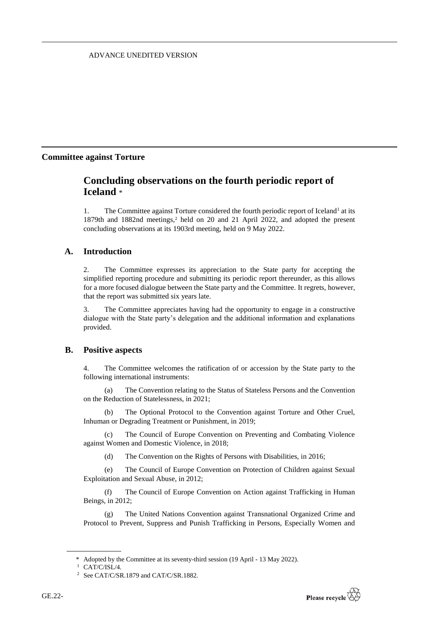# ADVANCE UNEDITED VERSION

# **Committee against Torture**

# **Concluding observations on the fourth periodic report of Iceland** \*

1. The Committee against Torture considered the fourth periodic report of Iceland<sup>1</sup> at its 1879th and 1882nd meetings,<sup>2</sup> held on 20 and 21 April 2022, and adopted the present concluding observations at its 1903rd meeting, held on 9 May 2022.

# **A. Introduction**

2. The Committee expresses its appreciation to the State party for accepting the simplified reporting procedure and submitting its periodic report thereunder, as this allows for a more focused dialogue between the State party and the Committee. It regrets, however, that the report was submitted six years late.

3. The Committee appreciates having had the opportunity to engage in a constructive dialogue with the State party's delegation and the additional information and explanations provided.

# **B. Positive aspects**

4. The Committee welcomes the ratification of or accession by the State party to the following international instruments:

(a) The Convention relating to the Status of Stateless Persons and the Convention on the Reduction of Statelessness, in 2021;

The Optional Protocol to the Convention against Torture and Other Cruel, Inhuman or Degrading Treatment or Punishment, in 2019;

(c) The Council of Europe Convention on Preventing and Combating Violence against Women and Domestic Violence, in 2018;

(d) The Convention on the Rights of Persons with Disabilities, in 2016;

(e) The Council of Europe Convention on Protection of Children against Sexual Exploitation and Sexual Abuse, in 2012;

(f) The Council of Europe Convention on Action against Trafficking in Human Beings, in 2012;

(g) The United Nations Convention against Transnational Organized Crime and Protocol to Prevent, Suppress and Punish Trafficking in Persons, Especially Women and

<sup>\*</sup> Adopted by the Committee at its seventy-third session (19 April - 13 May 2022).

 $1$  CAT/C/ISL/4.

<sup>2</sup> See CAT/C/SR.1879 and CAT/C/SR.1882.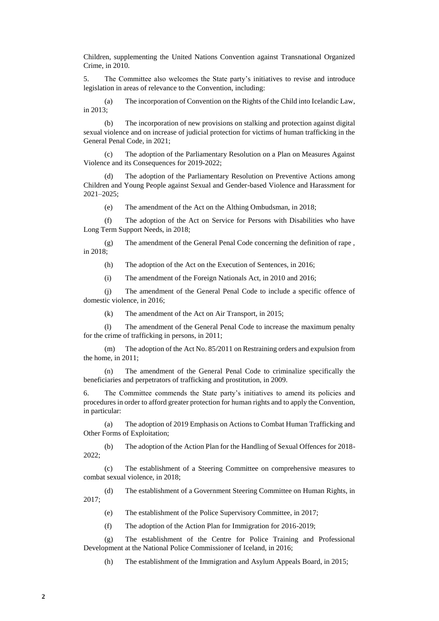Children, supplementing the United Nations Convention against Transnational Organized Crime, in 2010.

5. The Committee also welcomes the State party's initiatives to revise and introduce legislation in areas of relevance to the Convention, including:

(a) The incorporation of Convention on the Rights of the Child into Icelandic Law, in 2013;

(b) The incorporation of new provisions on stalking and protection against digital sexual violence and on increase of judicial protection for victims of human trafficking in the General Penal Code, in 2021;

(c) The adoption of the Parliamentary Resolution on a Plan on Measures Against Violence and its Consequences for 2019-2022;

(d) The adoption of the Parliamentary Resolution on Preventive Actions among Children and Young People against Sexual and Gender-based Violence and Harassment for 2021–2025;

(e) The amendment of the Act on the Althing Ombudsman, in 2018;

(f) The adoption of the Act on Service for Persons with Disabilities who have Long Term Support Needs, in 2018;

(g) The amendment of the General Penal Code concerning the definition of rape , in 2018;

(h) The adoption of the Act on the Execution of Sentences, in 2016;

(i) The amendment of the Foreign Nationals Act, in 2010 and 2016;

(j) The amendment of the General Penal Code to include a specific offence of domestic violence, in 2016;

(k) The amendment of the Act on Air Transport, in 2015;

(l) The amendment of the General Penal Code to increase the maximum penalty for the crime of trafficking in persons, in 2011;

(m) The adoption of the Act No. 85/2011 on Restraining orders and expulsion from the home, in 2011;

(n) The amendment of the General Penal Code to criminalize specifically the beneficiaries and perpetrators of trafficking and prostitution, in 2009.

6. The Committee commends the State party's initiatives to amend its policies and procedures in order to afford greater protection for human rights and to apply the Convention, in particular:

(a) The adoption of 2019 Emphasis on Actions to Combat Human Trafficking and Other Forms of Exploitation;

(b) The adoption of the Action Plan for the Handling of Sexual Offences for 2018- 2022;

(c) The establishment of a Steering Committee on comprehensive measures to combat sexual violence, in 2018;

(d) The establishment of a Government Steering Committee on Human Rights, in 2017;

(e) The establishment of the Police Supervisory Committee, in 2017;

(f) The adoption of the Action Plan for Immigration for 2016-2019;

(g) The establishment of the Centre for Police Training and Professional Development at the National Police Commissioner of Iceland, in 2016;

(h) The establishment of the Immigration and Asylum Appeals Board, in 2015;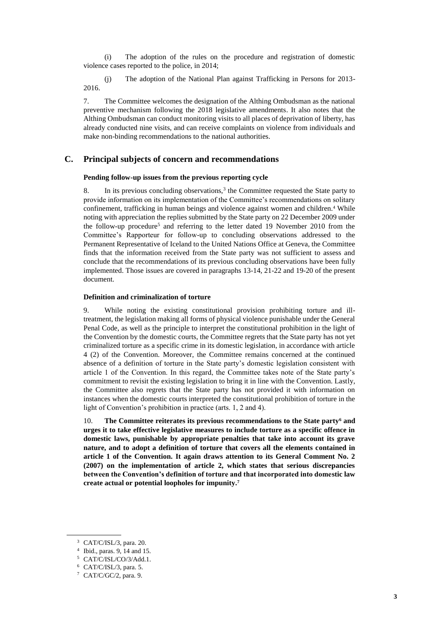(i) The adoption of the rules on the procedure and registration of domestic violence cases reported to the police, in 2014;

(j) The adoption of the National Plan against Trafficking in Persons for 2013- 2016.

7. The Committee welcomes the designation of the Althing Ombudsman as the national preventive mechanism following the 2018 legislative amendments. It also notes that the Althing Ombudsman can conduct monitoring visits to all places of deprivation of liberty, has already conducted nine visits, and can receive complaints on violence from individuals and make non-binding recommendations to the national authorities.

## **C. Principal subjects of concern and recommendations**

### **Pending follow-up issues from the previous reporting cycle**

8. In its previous concluding observations,<sup>3</sup> the Committee requested the State party to provide information on its implementation of the Committee's recommendations on solitary confinement, trafficking in human beings and violence against women and children.<sup>4</sup> While noting with appreciation the replies submitted by the State party on 22 December 2009 under the follow-up procedure<sup>5</sup> and referring to the letter dated 19 November 2010 from the Committee's Rapporteur for follow-up to concluding observations addressed to the Permanent Representative of Iceland to the United Nations Office at Geneva, the Committee finds that the information received from the State party was not sufficient to assess and conclude that the recommendations of its previous concluding observations have been fully implemented. Those issues are covered in paragraphs 13-14, 21-22 and 19-20 of the present document.

#### **Definition and criminalization of torture**

9. While noting the existing constitutional provision prohibiting torture and illtreatment, the legislation making all forms of physical violence punishable under the General Penal Code, as well as the principle to interpret the constitutional prohibition in the light of the Convention by the domestic courts, the Committee regrets that the State party has not yet criminalized torture as a specific crime in its domestic legislation, in accordance with article 4 (2) of the Convention. Moreover, the Committee remains concerned at the continued absence of a definition of torture in the State party's domestic legislation consistent with article 1 of the Convention. In this regard, the Committee takes note of the State party's commitment to revisit the existing legislation to bring it in line with the Convention. Lastly, the Committee also regrets that the State party has not provided it with information on instances when the domestic courts interpreted the constitutional prohibition of torture in the light of Convention's prohibition in practice (arts. 1, 2 and 4).

10. **The Committee reiterates its previous recommendations to the State party<sup>6</sup> and urges it to take effective legislative measures to include torture as a specific offence in domestic laws, punishable by appropriate penalties that take into account its grave nature, and to adopt a definition of torture that covers all the elements contained in article 1 of the Convention. It again draws attention to its General Comment No. 2 (2007) on the implementation of article 2, which states that serious discrepancies between the Convention's definition of torture and that incorporated into domestic law create actual or potential loopholes for impunity.<sup>7</sup>**

<sup>3</sup> CAT/C/ISL/3, para. 20.

<sup>4</sup> Ibid., paras. 9, 14 and 15.

<sup>5</sup> CAT/C/ISL/CO/3/Add.1.

<sup>6</sup> CAT/C/ISL/3, para. 5.

<sup>7</sup> CAT/C/GC/2, para. 9.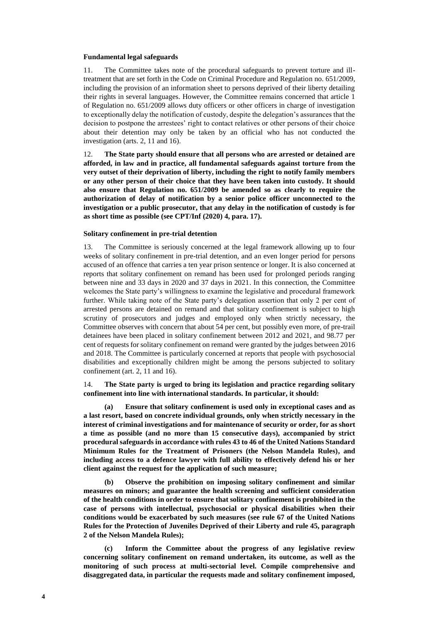#### **Fundamental legal safeguards**

11. The Committee takes note of the procedural safeguards to prevent torture and illtreatment that are set forth in the Code on Criminal Procedure and Regulation no. 651/2009, including the provision of an information sheet to persons deprived of their liberty detailing their rights in several languages. However, the Committee remains concerned that article 1 of Regulation no. 651/2009 allows duty officers or other officers in charge of investigation to exceptionally delay the notification of custody, despite the delegation's assurances that the decision to postpone the arrestees' right to contact relatives or other persons of their choice about their detention may only be taken by an official who has not conducted the investigation (arts. 2, 11 and 16).

12. **The State party should ensure that all persons who are arrested or detained are afforded, in law and in practice, all fundamental safeguards against torture from the very outset of their deprivation of liberty, including the right to notify family members or any other person of their choice that they have been taken into custody. It should also ensure that Regulation no. 651/2009 be amended so as clearly to require the authorization of delay of notification by a senior police officer unconnected to the investigation or a public prosecutor, that any delay in the notification of custody is for as short time as possible (see CPT/Inf (2020) 4, para. 17).**

#### **Solitary confinement in pre-trial detention**

13. The Committee is seriously concerned at the legal framework allowing up to four weeks of solitary confinement in pre-trial detention, and an even longer period for persons accused of an offence that carries a ten year prison sentence or longer. It is also concerned at reports that solitary confinement on remand has been used for prolonged periods ranging between nine and 33 days in 2020 and 37 days in 2021. In this connection, the Committee welcomes the State party's willingness to examine the legislative and procedural framework further. While taking note of the State party's delegation assertion that only 2 per cent of arrested persons are detained on remand and that solitary confinement is subject to high scrutiny of prosecutors and judges and employed only when strictly necessary, the Committee observes with concern that about 54 per cent, but possibly even more, of pre-trail detainees have been placed in solitary confinement between 2012 and 2021, and 98.77 per cent of requests for solitary confinement on remand were granted by the judges between 2016 and 2018. The Committee is particularly concerned at reports that people with psychosocial disabilities and exceptionally children might be among the persons subjected to solitary confinement (art. 2, 11 and 16).

14. **The State party is urged to bring its legislation and practice regarding solitary confinement into line with international standards. In particular, it should:** 

**(a) Ensure that solitary confinement is used only in exceptional cases and as a last resort, based on concrete individual grounds, only when strictly necessary in the interest of criminal investigations and for maintenance of security or order, for as short a time as possible (and no more than 15 consecutive days), accompanied by strict procedural safeguards in accordance with rules 43 to 46 of the United Nations Standard Minimum Rules for the Treatment of Prisoners (the Nelson Mandela Rules), and including access to a defence lawyer with full ability to effectively defend his or her client against the request for the application of such measure;**

**(b) Observe the prohibition on imposing solitary confinement and similar measures on minors; and guarantee the health screening and sufficient consideration of the health conditions in order to ensure that solitary confinement is prohibited in the case of persons with intellectual, psychosocial or physical disabilities when their conditions would be exacerbated by such measures (see rule 67 of the United Nations Rules for the Protection of Juveniles Deprived of their Liberty and rule 45, paragraph 2 of the Nelson Mandela Rules);**

**(c) Inform the Committee about the progress of any legislative review concerning solitary confinement on remand undertaken, its outcome, as well as the monitoring of such process at multi-sectorial level. Compile comprehensive and disaggregated data, in particular the requests made and solitary confinement imposed,**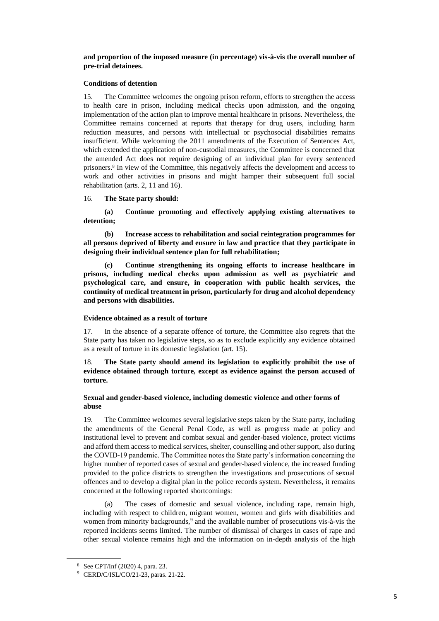### **and proportion of the imposed measure (in percentage) vis-à-vis the overall number of pre-trial detainees.**

### **Conditions of detention**

15. The Committee welcomes the ongoing prison reform, efforts to strengthen the access to health care in prison, including medical checks upon admission, and the ongoing implementation of the action plan to improve mental healthcare in prisons. Nevertheless, the Committee remains concerned at reports that therapy for drug users, including harm reduction measures, and persons with intellectual or psychosocial disabilities remains insufficient. While welcoming the 2011 amendments of the Execution of Sentences Act, which extended the application of non-custodial measures, the Committee is concerned that the amended Act does not require designing of an individual plan for every sentenced prisoners.<sup>8</sup> In view of the Committee, this negatively affects the development and access to work and other activities in prisons and might hamper their subsequent full social rehabilitation (arts. 2, 11 and 16).

### 16. **The State party should:**

**(a) Continue promoting and effectively applying existing alternatives to detention;**

**(b) Increase access to rehabilitation and social reintegration programmes for all persons deprived of liberty and ensure in law and practice that they participate in designing their individual sentence plan for full rehabilitation;** 

**(c) Continue strengthening its ongoing efforts to increase healthcare in prisons, including medical checks upon admission as well as psychiatric and psychological care, and ensure, in cooperation with public health services, the continuity of medical treatment in prison, particularly for drug and alcohol dependency and persons with disabilities.** 

### **Evidence obtained as a result of torture**

17. In the absence of a separate offence of torture, the Committee also regrets that the State party has taken no legislative steps, so as to exclude explicitly any evidence obtained as a result of torture in its domestic legislation (art. 15).

## 18. **The State party should amend its legislation to explicitly prohibit the use of evidence obtained through torture, except as evidence against the person accused of torture.**

### **Sexual and gender-based violence, including domestic violence and other forms of abuse**

19. The Committee welcomes several legislative steps taken by the State party, including the amendments of the General Penal Code, as well as progress made at policy and institutional level to prevent and combat sexual and gender-based violence, protect victims and afford them access to medical services, shelter, counselling and other support, also during the COVID-19 pandemic. The Committee notes the State party's information concerning the higher number of reported cases of sexual and gender-based violence, the increased funding provided to the police districts to strengthen the investigations and prosecutions of sexual offences and to develop a digital plan in the police records system. Nevertheless, it remains concerned at the following reported shortcomings:

(a) The cases of domestic and sexual violence, including rape, remain high, including with respect to children, migrant women, women and girls with disabilities and women from minority backgrounds,<sup>9</sup> and the available number of prosecutions vis-à-vis the reported incidents seems limited. The number of dismissal of charges in cases of rape and other sexual violence remains high and the information on in-depth analysis of the high

<sup>8</sup> See CPT/Inf (2020) 4, para. 23.

<sup>9</sup> CERD/C/ISL/CO/21-23, paras. 21-22.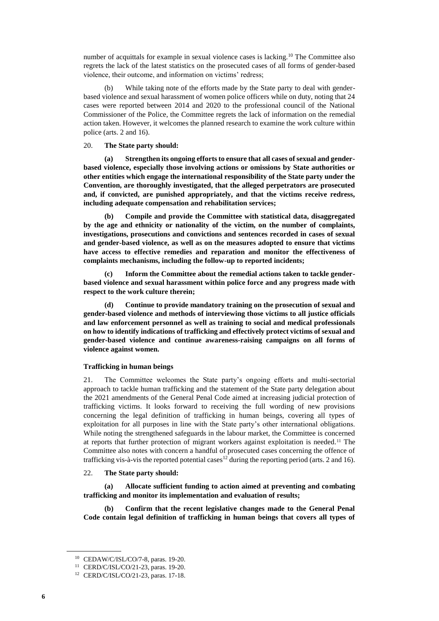number of acquittals for example in sexual violence cases is lacking.<sup>10</sup> The Committee also regrets the lack of the latest statistics on the prosecuted cases of all forms of gender-based violence, their outcome, and information on victims' redress;

(b) While taking note of the efforts made by the State party to deal with genderbased violence and sexual harassment of women police officers while on duty, noting that 24 cases were reported between 2014 and 2020 to the professional council of the National Commissioner of the Police, the Committee regrets the lack of information on the remedial action taken. However, it welcomes the planned research to examine the work culture within police (arts. 2 and 16).

### 20. **The State party should:**

Strengthen its ongoing efforts to ensure that all cases of sexual and gender**based violence, especially those involving actions or omissions by State authorities or other entities which engage the international responsibility of the State party under the Convention, are thoroughly investigated, that the alleged perpetrators are prosecuted and, if convicted, are punished appropriately, and that the victims receive redress, including adequate compensation and rehabilitation services;** 

**(b) Compile and provide the Committee with statistical data, disaggregated by the age and ethnicity or nationality of the victim, on the number of complaints, investigations, prosecutions and convictions and sentences recorded in cases of sexual and gender-based violence, as well as on the measures adopted to ensure that victims have access to effective remedies and reparation and monitor the effectiveness of complaints mechanisms, including the follow-up to reported incidents;** 

**(c) Inform the Committee about the remedial actions taken to tackle genderbased violence and sexual harassment within police force and any progress made with respect to the work culture therein;** 

**(d) Continue to provide mandatory training on the prosecution of sexual and gender-based violence and methods of interviewing those victims to all justice officials and law enforcement personnel as well as training to social and medical professionals on how to identify indications of trafficking and effectively protect victims of sexual and gender-based violence and continue awareness-raising campaigns on all forms of violence against women.**

### **Trafficking in human beings**

21. The Committee welcomes the State party's ongoing efforts and multi-sectorial approach to tackle human trafficking and the statement of the State party delegation about the 2021 amendments of the General Penal Code aimed at increasing judicial protection of trafficking victims. It looks forward to receiving the full wording of new provisions concerning the legal definition of trafficking in human beings, covering all types of exploitation for all purposes in line with the State party's other international obligations. While noting the strengthened safeguards in the labour market, the Committee is concerned at reports that further protection of migrant workers against exploitation is needed.<sup>11</sup> The Committee also notes with concern a handful of prosecuted cases concerning the offence of trafficking vis-à-vis the reported potential cases<sup>12</sup> during the reporting period (arts. 2 and 16).

### 22. **The State party should:**

**(a) Allocate sufficient funding to action aimed at preventing and combating trafficking and monitor its implementation and evaluation of results;**

**(b) Confirm that the recent legislative changes made to the General Penal Code contain legal definition of trafficking in human beings that covers all types of** 

<sup>10</sup> CEDAW/C/ISL/CO/7-8, paras. 19-20.

<sup>11</sup> CERD/C/ISL/CO/21-23, paras. 19-20.

<sup>12</sup> CERD/C/ISL/CO/21-23, paras. 17-18.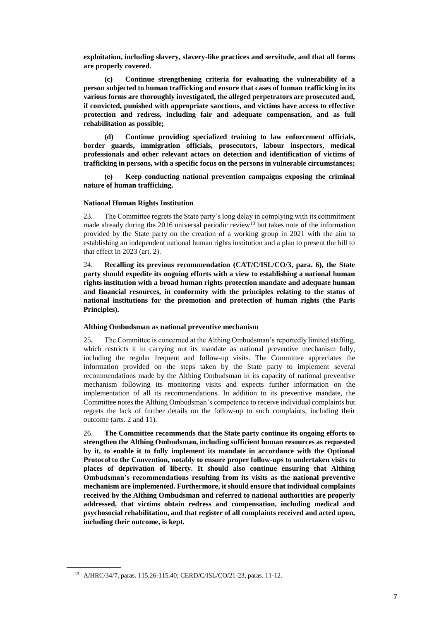**exploitation, including slavery, slavery-like practices and servitude, and that all forms are properly covered.**

**(c) Continue strengthening criteria for evaluating the vulnerability of a person subjected to human trafficking and ensure that cases of human trafficking in its various forms are thoroughly investigated, the alleged perpetrators are prosecuted and, if convicted, punished with appropriate sanctions, and victims have access to effective protection and redress, including fair and adequate compensation, and as full rehabilitation as possible;** 

**(d) Continue providing specialized training to law enforcement officials, border guards, immigration officials, prosecutors, labour inspectors, medical professionals and other relevant actors on detection and identification of victims of trafficking in persons, with a specific focus on the persons in vulnerable circumstances;** 

**(e) Keep conducting national prevention campaigns exposing the criminal nature of human trafficking.**

### **National Human Rights Institution**

23. The Committee regrets the State party's long delay in complying with its commitment made already during the 2016 universal periodic review<sup>13</sup> but takes note of the information provided by the State party on the creation of a working group in 2021 with the aim to establishing an independent national human rights institution and a plan to present the bill to that effect in 2023 (art. 2).

24. **Recalling its previous recommendation (CAT/C/ISL/CO/3, para. 6), the State party should expedite its ongoing efforts with a view to establishing a national human rights institution with a broad human rights protection mandate and adequate human and financial resources, in conformity with the principles relating to the status of national institutions for the promotion and protection of human rights (the Paris Principles).** 

### **Althing Ombudsman as national preventive mechanism**

25**.** The Committee is concerned at the Althing Ombudsman's reportedly limited staffing, which restricts it in carrying out its mandate as national preventive mechanism fully, including the regular frequent and follow-up visits. The Committee appreciates the information provided on the steps taken by the State party to implement several recommendations made by the Althing Ombudsman in its capacity of national preventive mechanism following its monitoring visits and expects further information on the implementation of all its recommendations. In addition to its preventive mandate, the Committee notes the Althing Ombudsman's competence to receive individual complaints but regrets the lack of further details on the follow-up to such complaints, including their outcome (arts. 2 and 11).

26. **The Committee recommends that the State party continue its ongoing efforts to strengthen the Althing Ombudsman, including sufficient human resources as requested by it, to enable it to fully implement its mandate in accordance with the Optional Protocol to the Convention, notably to ensure proper follow-ups to undertaken visits to places of deprivation of liberty. It should also continue ensuring that Althing Ombudsman's recommendations resulting from its visits as the national preventive mechanism are implemented. Furthermore, it should ensure that individual complaints received by the Althing Ombudsman and referred to national authorities are properly addressed, that victims obtain redress and compensation, including medical and psychosocial rehabilitation, and that register of all complaints received and acted upon, including their outcome, is kept.** 

<sup>13</sup> A/HRC/34/7, paras. 115.26-115.40; CERD/C/ISL/CO/21-23, paras. 11-12.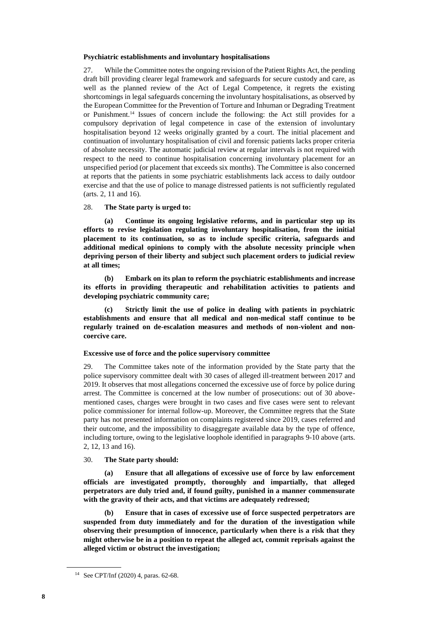### **Psychiatric establishments and involuntary hospitalisations**

27. While the Committee notes the ongoing revision of the Patient Rights Act, the pending draft bill providing clearer legal framework and safeguards for secure custody and care, as well as the planned review of the Act of Legal Competence, it regrets the existing shortcomings in legal safeguards concerning the involuntary hospitalisations, as observed by the European Committee for the Prevention of Torture and Inhuman or Degrading Treatment or Punishment.<sup>14</sup> Issues of concern include the following: the Act still provides for a compulsory deprivation of legal competence in case of the extension of involuntary hospitalisation beyond 12 weeks originally granted by a court. The initial placement and continuation of involuntary hospitalisation of civil and forensic patients lacks proper criteria of absolute necessity. The automatic judicial review at regular intervals is not required with respect to the need to continue hospitalisation concerning involuntary placement for an unspecified period (or placement that exceeds six months). The Committee is also concerned at reports that the patients in some psychiatric establishments lack access to daily outdoor exercise and that the use of police to manage distressed patients is not sufficiently regulated (arts. 2, 11 and 16).

### 28. **The State party is urged to:**

**(a) Continue its ongoing legislative reforms, and in particular step up its efforts to revise legislation regulating involuntary hospitalisation, from the initial placement to its continuation, so as to include specific criteria, safeguards and additional medical opinions to comply with the absolute necessity principle when depriving person of their liberty and subject such placement orders to judicial review at all times;**

**(b) Embark on its plan to reform the psychiatric establishments and increase its efforts in providing therapeutic and rehabilitation activities to patients and developing psychiatric community care;**

**(c) Strictly limit the use of police in dealing with patients in psychiatric establishments and ensure that all medical and non-medical staff continue to be regularly trained on de-escalation measures and methods of non-violent and noncoercive care.**

### **Excessive use of force and the police supervisory committee**

29. The Committee takes note of the information provided by the State party that the police supervisory committee dealt with 30 cases of alleged ill-treatment between 2017 and 2019. It observes that most allegations concerned the excessive use of force by police during arrest. The Committee is concerned at the low number of prosecutions: out of 30 abovementioned cases, charges were brought in two cases and five cases were sent to relevant police commissioner for internal follow-up. Moreover, the Committee regrets that the State party has not presented information on complaints registered since 2019, cases referred and their outcome, and the impossibility to disaggregate available data by the type of offence, including torture, owing to the legislative loophole identified in paragraphs 9-10 above (arts. 2, 12, 13 and 16).

### 30. **The State party should:**

**(a) Ensure that all allegations of excessive use of force by law enforcement officials are investigated promptly, thoroughly and impartially, that alleged perpetrators are duly tried and, if found guilty, punished in a manner commensurate with the gravity of their acts, and that victims are adequately redressed;**

**(b) Ensure that in cases of excessive use of force suspected perpetrators are suspended from duty immediately and for the duration of the investigation while observing their presumption of innocence, particularly when there is a risk that they might otherwise be in a position to repeat the alleged act, commit reprisals against the alleged victim or obstruct the investigation;**

<sup>14</sup> See CPT/Inf (2020) 4, paras. 62-68.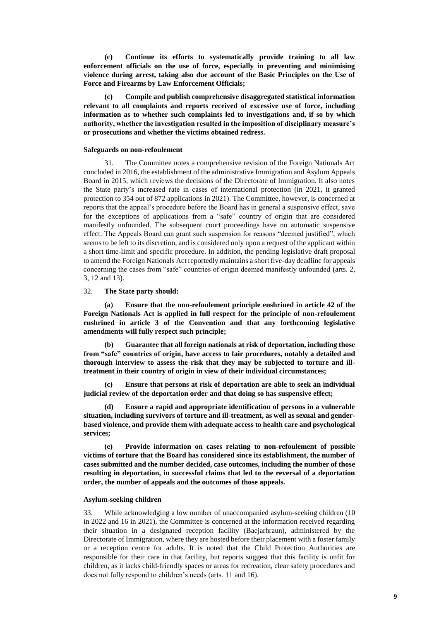**(c) Continue its efforts to systematically provide training to all law enforcement officials on the use of force, especially in preventing and minimising violence during arrest, taking also due account of the Basic Principles on the Use of Force and Firearms by Law Enforcement Officials;** 

**(c) Compile and publish comprehensive disaggregated statistical information relevant to all complaints and reports received of excessive use of force, including information as to whether such complaints led to investigations and, if so by which authority, whether the investigation resulted in the imposition of disciplinary measure's or prosecutions and whether the victims obtained redress.**

### **Safeguards on non-refoulement**

31. The Committee notes a comprehensive revision of the Foreign Nationals Act concluded in 2016, the establishment of the administrative Immigration and Asylum Appeals Board in 2015, which reviews the decisions of the Directorate of Immigration. It also notes the State party's increased rate in cases of international protection (in 2021, it granted protection to 354 out of 872 applications in 2021). The Committee, however, is concerned at reports that the appeal's procedure before the Board has in general a suspensive effect, save for the exceptions of applications from a "safe" country of origin that are considered manifestly unfounded. The subsequent court proceedings have no automatic suspensive effect. The Appeals Board can grant such suspension for reasons "deemed justified", which seems to be left to its discretion, and is considered only upon a request of the applicant within a short time-limit and specific procedure. In addition, the pending legislative draft proposal to amend the Foreign Nationals Act reportedly maintains a short five-day deadline for appeals concerning the cases from "safe" countries of origin deemed manifestly unfounded (arts. 2, 3, 12 and 13).

#### 32. **The State party should:**

**(a) Ensure that the non-refoulement principle enshrined in article 42 of the Foreign Nationals Act is applied in full respect for the principle of non-refoulement enshrined in article 3 of the Convention and that any forthcoming legislative amendments will fully respect such principle;** 

**(b) Guarantee that all foreign nationals at risk of deportation, including those from "safe" countries of origin, have access to fair procedures, notably a detailed and thorough interview to assess the risk that they may be subjected to torture and illtreatment in their country of origin in view of their individual circumstances;**

**(c) Ensure that persons at risk of deportation are able to seek an individual judicial review of the deportation order and that doing so has suspensive effect;** 

**(d) Ensure a rapid and appropriate identification of persons in a vulnerable situation, including survivors of torture and ill-treatment, as well as sexual and genderbased violence, and provide them with adequate access to health care and psychological services;**

**(e) Provide information on cases relating to non-refoulement of possible victims of torture that the Board has considered since its establishment, the number of cases submitted and the number decided, case outcomes, including the number of those resulting in deportation, in successful claims that led to the reversal of a deportation order, the number of appeals and the outcomes of those appeals.**

#### **Asylum-seeking children**

33. While acknowledging a low number of unaccompanied asylum-seeking children (10 in 2022 and 16 in 2021), the Committee is concerned at the information received regarding their situation in a designated reception facility (Baejarhraun), administered by the Directorate of Immigration, where they are hosted before their placement with a foster family or a reception centre for adults. It is noted that the Child Protection Authorities are responsible for their care in that facility, but reports suggest that this facility is unfit for children, as it lacks child-friendly spaces or areas for recreation, clear safety procedures and does not fully respond to children's needs (arts. 11 and 16).